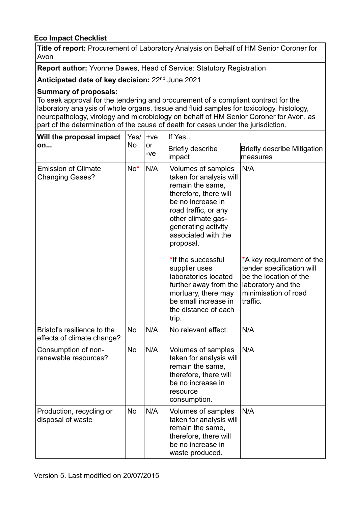## **Eco Impact Checklist**

**Title of report:** Procurement of Laboratory Analysis on Behalf of HM Senior Coroner for Avon

**Report author:** Yvonne Dawes, Head of Service: Statutory Registration

**Anticipated date of key decision:** 22nd June 2021

### **Summary of proposals:**

To seek approval for the tendering and procurement of a compliant contract for the laboratory analysis of whole organs, tissue and fluid samples for toxicology, histology, neuropathology, virology and microbiology on behalf of HM Senior Coroner for Avon, as part of the determination of the cause of death for cases under the jurisdiction.

| Will the proposal impact<br>on                            | Yes/<br>No | $+ve$<br>or<br>$-ve$ | If Yes                                                                                                                                                                                                                                                                                                                                                                                           |                                                                                                                                                   |
|-----------------------------------------------------------|------------|----------------------|--------------------------------------------------------------------------------------------------------------------------------------------------------------------------------------------------------------------------------------------------------------------------------------------------------------------------------------------------------------------------------------------------|---------------------------------------------------------------------------------------------------------------------------------------------------|
|                                                           |            |                      | <b>Briefly describe</b><br>impact                                                                                                                                                                                                                                                                                                                                                                | <b>Briefly describe Mitigation</b><br>measures                                                                                                    |
| <b>Emission of Climate</b><br><b>Changing Gases?</b>      | No*        | N/A                  | Volumes of samples<br>taken for analysis will<br>remain the same,<br>therefore, there will<br>be no increase in<br>road traffic, or any<br>other climate gas-<br>generating activity<br>associated with the<br>proposal.<br>*If the successful<br>supplier uses<br>laboratories located<br>further away from the<br>mortuary, there may<br>be small increase in<br>the distance of each<br>trip. | N/A<br>*A key requirement of the<br>tender specification will<br>be the location of the<br>laboratory and the<br>minimisation of road<br>traffic. |
| Bristol's resilience to the<br>effects of climate change? | <b>No</b>  | N/A                  | No relevant effect.                                                                                                                                                                                                                                                                                                                                                                              | N/A                                                                                                                                               |
| Consumption of non-<br>renewable resources?               | <b>No</b>  | N/A                  | Volumes of samples<br>taken for analysis will<br>remain the same,<br>therefore, there will<br>be no increase in<br>resource<br>consumption.                                                                                                                                                                                                                                                      | N/A                                                                                                                                               |
| Production, recycling or<br>disposal of waste             | No         | N/A                  | Volumes of samples<br>taken for analysis will<br>remain the same,<br>therefore, there will<br>be no increase in<br>waste produced.                                                                                                                                                                                                                                                               | N/A                                                                                                                                               |